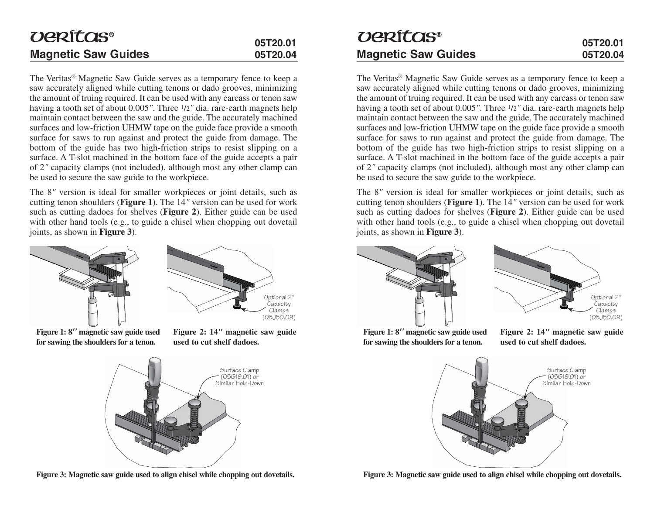# *UPRÍTOS®* **Magnetic Saw Guides Magnetic Saw Guides**

The Veritas® Magnetic Saw Guide serves as a temporary fence to keep a saw accurately aligned while cutting tenons or dado grooves, minimizing the amount of truing required. It can be used with any carcass or tenon saw having a tooth set of about 0.005". Three  $1/2$ " dia. rare-earth magnets help maintain contact between the saw and the guide. The accurately machined surfaces and low-friction UHMW tape on the guide face provide a smooth surface for saws to run against and protect the guide from damage. The bottom of the guide has two high-friction strips to resist slipping on a surface. A T-slot machined in the bottom face of the guide accepts a pair of 2*"* capacity clamps (not included), although most any other clamp can be used to secure the saw guide to the workpiece.

The 8*"* version is ideal for smaller workpieces or joint details, such as cutting tenon shoulders (**Figure 1**). The  $14^{\prime\prime}$  version can be used for work such as cutting dadoes for shelves (**Figure 2**). Either guide can be used with other hand tools (e.g., to guide a chisel when chopping out dovetail joints, as shown in **Figure 3**).



**Figure 1: 8***"* **magnetic saw guide used for sawing the shoulders for a tenon.**



**Figure 2: 14***"* **magnetic saw guide used to cut shelf dadoes.**



**Figure 3: Magnetic saw guide used to align chisel while chopping out dovetails.**